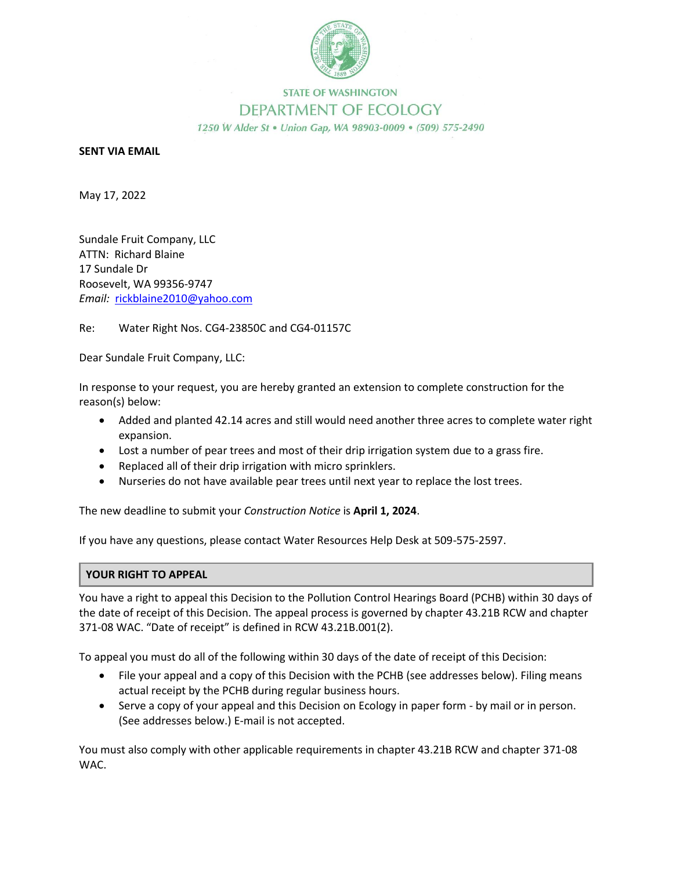

## **STATE OF WASHINGTON** DEPARTMENT OF ECOLOGY 1250 W Alder St . Union Gap, WA 98903-0009 . (509) 575-2490

**SENT VIA EMAIL**

May 17, 2022

Sundale Fruit Company, LLC ATTN: Richard Blaine 17 Sundale Dr Roosevelt, WA 99356-9747 *Email:* rickblaine2010@yahoo.com

Re: Water Right Nos. CG4-23850C and CG4-01157C

Dear Sundale Fruit Company, LLC:

In response to your request, you are hereby granted an extension to complete construction for the reason(s) below:

- Added and planted 42.14 acres and still would need another three acres to complete water right expansion.
- Lost a number of pear trees and most of their drip irrigation system due to a grass fire.
- Replaced all of their drip irrigation with micro sprinklers.
- Nurseries do not have available pear trees until next year to replace the lost trees.

The new deadline to submit your *Construction Notice* is **April 1, 2024**.

If you have any questions, please contact Water Resources Help Desk at 509-575-2597.

## **YOUR RIGHT TO APPEAL**

You have a right to appeal this Decision to the Pollution Control Hearings Board (PCHB) within 30 days of the date of receipt of this Decision. The appeal process is governed by chapter 43.21B RCW and chapter 371-08 WAC. "Date of receipt" is defined in RCW 43.21B.001(2).

To appeal you must do all of the following within 30 days of the date of receipt of this Decision:

- File your appeal and a copy of this Decision with the PCHB (see addresses below). Filing means actual receipt by the PCHB during regular business hours.
- Serve a copy of your appeal and this Decision on Ecology in paper form by mail or in person. (See addresses below.) E-mail is not accepted.

You must also comply with other applicable requirements in chapter 43.21B RCW and chapter 371-08 WAC.